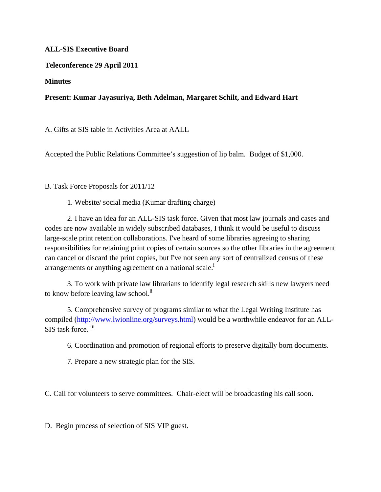## **ALL-SIS Executive Board**

## **Teleconference 29 April 2011**

## **Minutes**

## **Present: Kumar Jayasuriya, Beth Adelman, Margaret Schilt, and Edward Hart**

A. Gifts at SIS table in Activities Area at AALL

Accepted the Public Relations Committee's suggestion of lip balm. Budget of \$1,000.

B. Task Force Proposals for 2011/12

1. Website/ social media (Kumar drafting charge)

2. I have an idea for an ALL-SIS task force. Given that most law journals and cases and codes are now available in widely subscribed databases, I think it would be useful to discuss large-scale print retention collaborations. I've heard of some libraries agreeing to sharing responsibilities for retaining print copies of certain sources so the other libraries in the agreement can cancel or discard the print copies, but I've not seen any sort of centralized census of these arrangements or anything agreement on a national scale.<sup>i</sup>

3. To work with private law librarians to identify legal research skills new lawyers need to know before leaving law school.<sup>ii</sup>

5. Comprehensive survey of programs similar to what the Legal Writing Institute has compiled (http://www.lwionline.org/surveys.html) would be a worthwhile endeavor for an ALL-SIS task force. iii

6. Coordination and promotion of regional efforts to preserve digitally born documents.

7. Prepare a new strategic plan for the SIS.

C. Call for volunteers to serve committees. Chair-elect will be broadcasting his call soon.

D. Begin process of selection of SIS VIP guest.